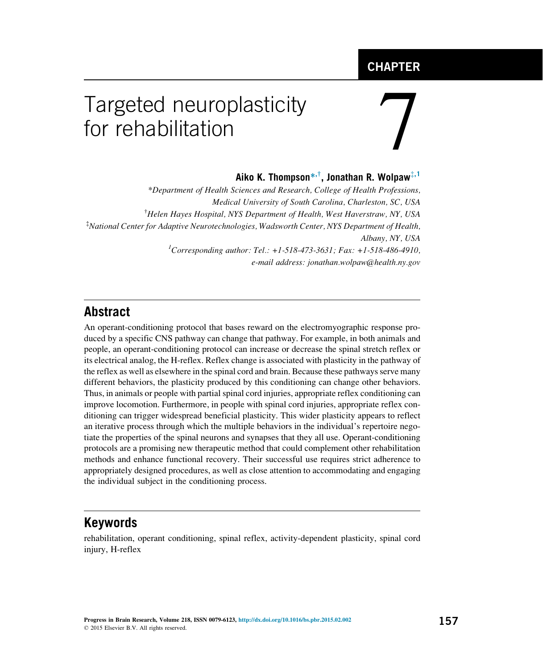# Targeted neuroplasticity Targeted neuroplasticity<br>for rehabilitation

### Aiko K. Thompson $^{*,+}$ , Jonathan R. Wolpaw $^{*,+}$

\*Department of Health Sciences and Research, College of Health Professions, Medical University of South Carolina, Charleston, SC, USA † Helen Hayes Hospital, NYS Department of Health, West Haverstraw, NY, USA  $^{\ddagger}$ National Center for Adaptive Neurotechnologies, Wadsworth Center, NYS Department of Health, Albany, NY, USA <sup>1</sup>Corresponding author: Tel.: +1-518-473-3631; Fax: +1-518-486-4910, e-mail address: jonathan.wolpaw@health.ny.gov

# Abstract

An operant-conditioning protocol that bases reward on the electromyographic response produced by a specific CNS pathway can change that pathway. For example, in both animals and people, an operant-conditioning protocol can increase or decrease the spinal stretch reflex or its electrical analog, the H-reflex. Reflex change is associated with plasticity in the pathway of the reflex as well as elsewhere in the spinal cord and brain. Because these pathways serve many different behaviors, the plasticity produced by this conditioning can change other behaviors. Thus, in animals or people with partial spinal cord injuries, appropriate reflex conditioning can improve locomotion. Furthermore, in people with spinal cord injuries, appropriate reflex conditioning can trigger widespread beneficial plasticity. This wider plasticity appears to reflect an iterative process through which the multiple behaviors in the individual's repertoire negotiate the properties of the spinal neurons and synapses that they all use. Operant-conditioning protocols are a promising new therapeutic method that could complement other rehabilitation methods and enhance functional recovery. Their successful use requires strict adherence to appropriately designed procedures, as well as close attention to accommodating and engaging the individual subject in the conditioning process.

# Keywords

rehabilitation, operant conditioning, spinal reflex, activity-dependent plasticity, spinal cord injury, H-reflex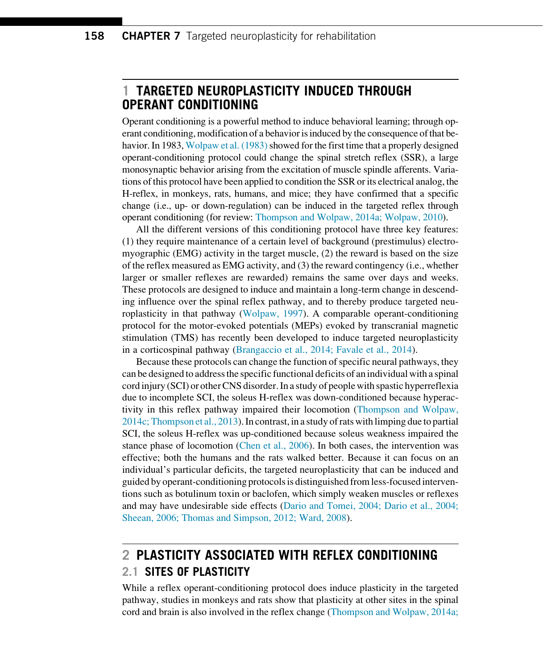# 1 TARGETED NEUROPLASTICITY INDUCED THROUGH OPERANT CONDITIONING

Operant conditioning is a powerful method to induce behavioral learning; through operant conditioning, modification of a behavior is induced by the consequence of that be-havior. In 1983, [Wolpaw et al. \(1983\)](#page-15-0) showed for the first time that a properly designed operant-conditioning protocol could change the spinal stretch reflex (SSR), a large monosynaptic behavior arising from the excitation of muscle spindle afferents. Variations of this protocol have been applied to condition the SSR or its electrical analog, the H-reflex, in monkeys, rats, humans, and mice; they have confirmed that a specific change (i.e., up- or down-regulation) can be induced in the targeted reflex through operant conditioning (for review: [Thompson and Wolpaw, 2014a; Wolpaw, 2010](#page-14-0)).

All the different versions of this conditioning protocol have three key features: (1) they require maintenance of a certain level of background (prestimulus) electromyographic (EMG) activity in the target muscle, (2) the reward is based on the size of the reflex measured as EMG activity, and (3) the reward contingency (i.e., whether larger or smaller reflexes are rewarded) remains the same over days and weeks. These protocols are designed to induce and maintain a long-term change in descending influence over the spinal reflex pathway, and to thereby produce targeted neuroplasticity in that pathway [\(Wolpaw, 1997](#page-15-0)). A comparable operant-conditioning protocol for the motor-evoked potentials (MEPs) evoked by transcranial magnetic stimulation (TMS) has recently been developed to induce targeted neuroplasticity in a corticospinal pathway ([Brangaccio et al., 2014; Favale et al., 2014\)](#page-13-0).

Because these protocols can change the function of specific neural pathways, they can be designed to address the specific functional deficits of an individual with a spinal cord injury (SCI) or other CNS disorder. In a study of people with spastic hyperreflexia due to incomplete SCI, the soleus H-reflex was down-conditioned because hyperactivity in this reflex pathway impaired their locomotion [\(Thompson and Wolpaw,](#page-14-0) [2014c; Thompson et al., 2013\)](#page-14-0). In contrast, in a study of rats with limping due to partial SCI, the soleus H-reflex was up-conditioned because soleus weakness impaired the stance phase of locomotion [\(Chen et al., 2006](#page-13-0)). In both cases, the intervention was effective; both the humans and the rats walked better. Because it can focus on an individual's particular deficits, the targeted neuroplasticity that can be induced and guided by operant-conditioning protocols is distinguished from less-focused interventions such as botulinum toxin or baclofen, which simply weaken muscles or reflexes and may have undesirable side effects [\(Dario and Tomei, 2004; Dario et al., 2004;](#page-13-0) [Sheean, 2006; Thomas and Simpson, 2012; Ward, 2008\)](#page-13-0).

# 2 PLASTICITY ASSOCIATED WITH REFLEX CONDITIONING 2.1 SITES OF PLASTICITY

While a reflex operant-conditioning protocol does induce plasticity in the targeted pathway, studies in monkeys and rats show that plasticity at other sites in the spinal cord and brain is also involved in the reflex change [\(Thompson and Wolpaw, 2014a;](#page-14-0)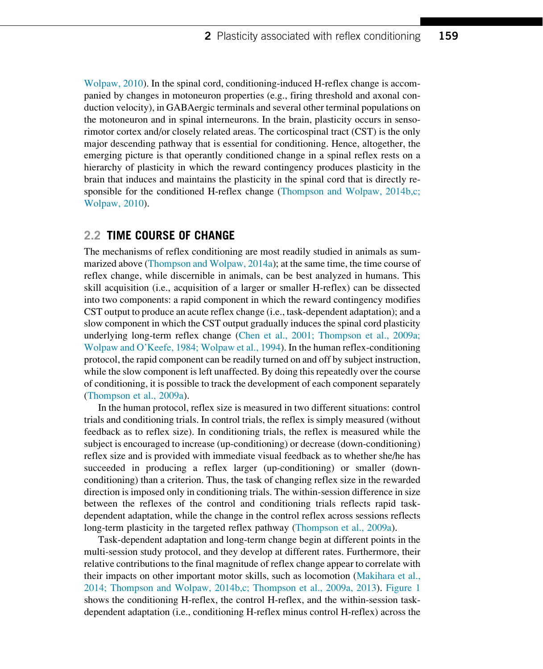[Wolpaw, 2010](#page-14-0)). In the spinal cord, conditioning-induced H-reflex change is accompanied by changes in motoneuron properties (e.g., firing threshold and axonal conduction velocity), in GABAergic terminals and several other terminal populations on the motoneuron and in spinal interneurons. In the brain, plasticity occurs in sensorimotor cortex and/or closely related areas. The corticospinal tract (CST) is the only major descending pathway that is essential for conditioning. Hence, altogether, the emerging picture is that operantly conditioned change in a spinal reflex rests on a hierarchy of plasticity in which the reward contingency produces plasticity in the brain that induces and maintains the plasticity in the spinal cord that is directly responsible for the conditioned H-reflex change [\(Thompson and Wolpaw, 2014b,c;](#page-14-0) [Wolpaw, 2010](#page-14-0)).

### 2.2 TIME COURSE OF CHANGE

The mechanisms of reflex conditioning are most readily studied in animals as summarized above [\(Thompson and Wolpaw, 2014a](#page-14-0)); at the same time, the time course of reflex change, while discernible in animals, can be best analyzed in humans. This skill acquisition (i.e., acquisition of a larger or smaller H-reflex) can be dissected into two components: a rapid component in which the reward contingency modifies CST output to produce an acute reflex change (i.e., task-dependent adaptation); and a slow component in which the CST output gradually induces the spinal cord plasticity underlying long-term reflex change ([Chen et al., 2001; Thompson et al., 2009a;](#page-13-0) [Wolpaw and O'Keefe, 1984; Wolpaw et al., 1994](#page-13-0)). In the human reflex-conditioning protocol, the rapid component can be readily turned on and off by subject instruction, while the slow component is left unaffected. By doing this repeatedly over the course of conditioning, it is possible to track the development of each component separately ([Thompson et al., 2009a\)](#page-14-0).

In the human protocol, reflex size is measured in two different situations: control trials and conditioning trials. In control trials, the reflex is simply measured (without feedback as to reflex size). In conditioning trials, the reflex is measured while the subject is encouraged to increase (up-conditioning) or decrease (down-conditioning) reflex size and is provided with immediate visual feedback as to whether she/he has succeeded in producing a reflex larger (up-conditioning) or smaller (downconditioning) than a criterion. Thus, the task of changing reflex size in the rewarded direction is imposed only in conditioning trials. The within-session difference in size between the reflexes of the control and conditioning trials reflects rapid taskdependent adaptation, while the change in the control reflex across sessions reflects long-term plasticity in the targeted reflex pathway ([Thompson et al., 2009a\)](#page-14-0).

Task-dependent adaptation and long-term change begin at different points in the multi-session study protocol, and they develop at different rates. Furthermore, their relative contributions to the final magnitude of reflex change appear to correlate with their impacts on other important motor skills, such as locomotion ([Makihara et al.,](#page-14-0) [2014; Thompson and Wolpaw, 2014b,c; Thompson et al., 2009a, 2013\)](#page-14-0). [Figure 1](#page-3-0) shows the conditioning H-reflex, the control H-reflex, and the within-session taskdependent adaptation (i.e., conditioning H-reflex minus control H-reflex) across the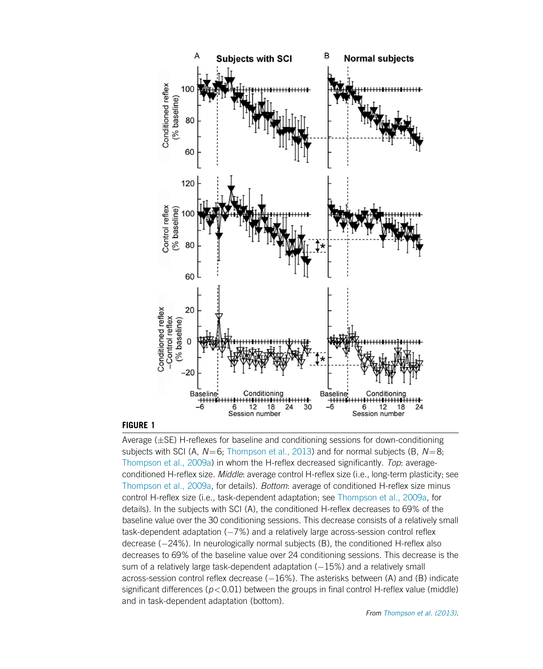<span id="page-3-0"></span>

#### FIGURE 1

Average ( $\pm$ SE) H-reflexes for baseline and conditioning sessions for down-conditioning subjects with SCI (A,  $N=6$ ; [Thompson et al., 2013](#page-15-0)) and for normal subjects (B,  $N=8$ ; [Thompson et al., 2009a](#page-14-0)) in whom the H-reflex decreased significantly. Top: averageconditioned H-reflex size. Middle: average control H-reflex size (i.e., long-term plasticity; see [Thompson et al., 2009a](#page-14-0), for details). Bottom: average of conditioned H-reflex size minus control H-reflex size (i.e., task-dependent adaptation; see [Thompson et al., 2009a,](#page-14-0) for details). In the subjects with SCI (A), the conditioned H-reflex decreases to 69% of the baseline value over the 30 conditioning sessions. This decrease consists of a relatively small task-dependent adaptation  $(-7%)$  and a relatively large across-session control reflex decrease  $(-24%)$ . In neurologically normal subjects  $(B)$ , the conditioned H-reflex also decreases to 69% of the baseline value over 24 conditioning sessions. This decrease is the sum of a relatively large task-dependent adaptation  $(-15%)$  and a relatively small across-session control reflex decrease  $(-16%)$ . The asterisks between (A) and (B) indicate significant differences ( $p < 0.01$ ) between the groups in final control H-reflex value (middle) and in task-dependent adaptation (bottom).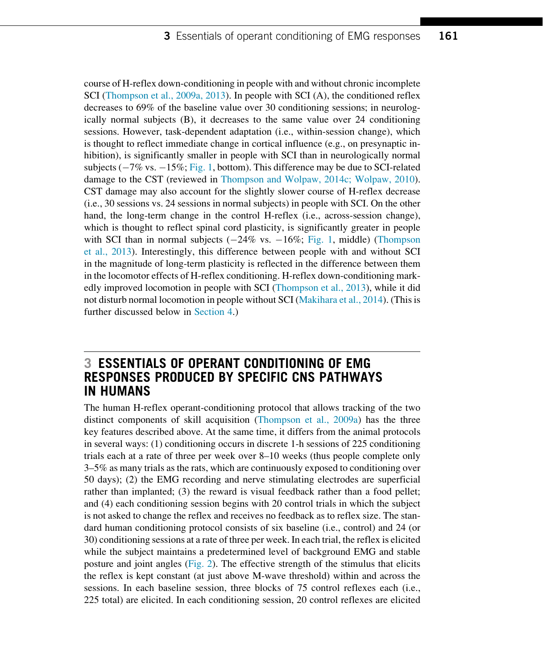course of H-reflex down-conditioning in people with and without chronic incomplete SCI [\(Thompson et al., 2009a, 2013\)](#page-14-0). In people with SCI (A), the conditioned reflex decreases to 69% of the baseline value over 30 conditioning sessions; in neurologically normal subjects (B), it decreases to the same value over 24 conditioning sessions. However, task-dependent adaptation (i.e., within-session change), which is thought to reflect immediate change in cortical influence (e.g., on presynaptic inhibition), is significantly smaller in people with SCI than in neurologically normal subjects  $(-7\% \text{ vs. } -15\%;$  [Fig. 1,](#page-3-0) bottom). This difference may be due to SCI-related damage to the CST (reviewed in [Thompson and Wolpaw, 2014c; Wolpaw, 2010\)](#page-14-0). CST damage may also account for the slightly slower course of H-reflex decrease (i.e., 30 sessions vs. 24 sessions in normal subjects) in people with SCI. On the other hand, the long-term change in the control H-reflex (i.e., across-session change), which is thought to reflect spinal cord plasticity, is significantly greater in people with SCI than in normal subjects  $(-24\% \text{ vs. } -16\%;$  [Fig. 1](#page-3-0), middle) ([Thompson](#page-15-0) [et al., 2013\)](#page-15-0). Interestingly, this difference between people with and without SCI in the magnitude of long-term plasticity is reflected in the difference between them in the locomotor effects of H-reflex conditioning. H-reflex down-conditioning markedly improved locomotion in people with SCI [\(Thompson et al., 2013](#page-15-0)), while it did not disturb normal locomotion in people without SCI [\(Makihara et al., 2014](#page-14-0)). (This is further discussed below in [Section 4](#page-9-0).)

# 3 ESSENTIALS OF OPERANT CONDITIONING OF EMG RESPONSES PRODUCED BY SPECIFIC CNS PATHWAYS IN HUMANS

The human H-reflex operant-conditioning protocol that allows tracking of the two distinct components of skill acquisition [\(Thompson et al., 2009a](#page-14-0)) has the three key features described above. At the same time, it differs from the animal protocols in several ways: (1) conditioning occurs in discrete 1-h sessions of 225 conditioning trials each at a rate of three per week over 8–10 weeks (thus people complete only 3–5% as many trials as the rats, which are continuously exposed to conditioning over 50 days); (2) the EMG recording and nerve stimulating electrodes are superficial rather than implanted; (3) the reward is visual feedback rather than a food pellet; and (4) each conditioning session begins with 20 control trials in which the subject is not asked to change the reflex and receives no feedback as to reflex size. The standard human conditioning protocol consists of six baseline (i.e., control) and 24 (or 30) conditioning sessions at a rate of three per week. In each trial, the reflex is elicited while the subject maintains a predetermined level of background EMG and stable posture and joint angles [\(Fig. 2](#page-5-0)). The effective strength of the stimulus that elicits the reflex is kept constant (at just above M-wave threshold) within and across the sessions. In each baseline session, three blocks of 75 control reflexes each (i.e., 225 total) are elicited. In each conditioning session, 20 control reflexes are elicited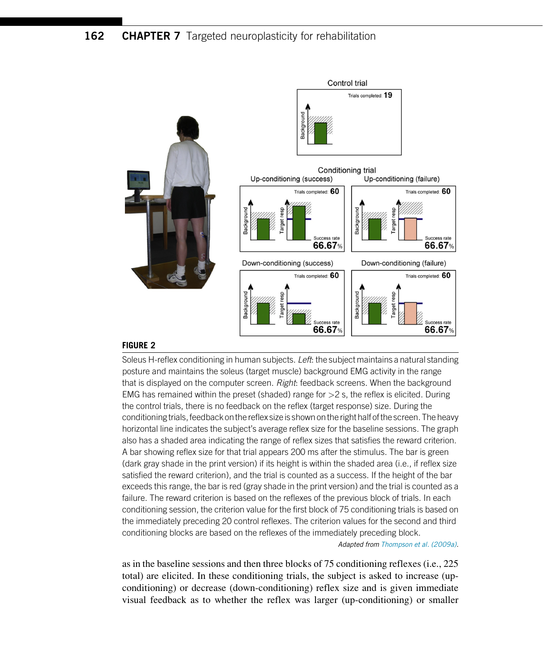#### <span id="page-5-0"></span>**162 CHAPTER 7** Targeted neuroplasticity for rehabilitation



#### FIGURE 2

Soleus H-reflex conditioning in human subjects. Left: the subject maintains a natural standing posture and maintains the soleus (target muscle) background EMG activity in the range that is displayed on the computer screen. Right: feedback screens. When the background EMG has remained within the preset (shaded) range for  $>2$  s, the reflex is elicited. During the control trials, there is no feedback on the reflex (target response) size. During the conditioning trials,feedback onthe reflex size is shown onthe right half ofthe screen. The heavy horizontal line indicates the subject's average reflex size for the baseline sessions. The graph also has a shaded area indicating the range of reflex sizes that satisfies the reward criterion. A bar showing reflex size for that trial appears 200 ms after the stimulus. The bar is green (dark gray shade in the print version) if its height is within the shaded area (i.e., if reflex size satisfied the reward criterion), and the trial is counted as a success. If the height of the bar exceeds this range, the bar is red (gray shade in the print version) and the trial is counted as a failure. The reward criterion is based on the reflexes of the previous block of trials. In each conditioning session, the criterion value for the first block of 75 conditioning trials is based on the immediately preceding 20 control reflexes. The criterion values for the second and third conditioning blocks are based on the reflexes of the immediately preceding block.

#### Adapted from [Thompson et al. \(2009a\)](#page-14-0).

as in the baseline sessions and then three blocks of 75 conditioning reflexes (i.e., 225 total) are elicited. In these conditioning trials, the subject is asked to increase (upconditioning) or decrease (down-conditioning) reflex size and is given immediate visual feedback as to whether the reflex was larger (up-conditioning) or smaller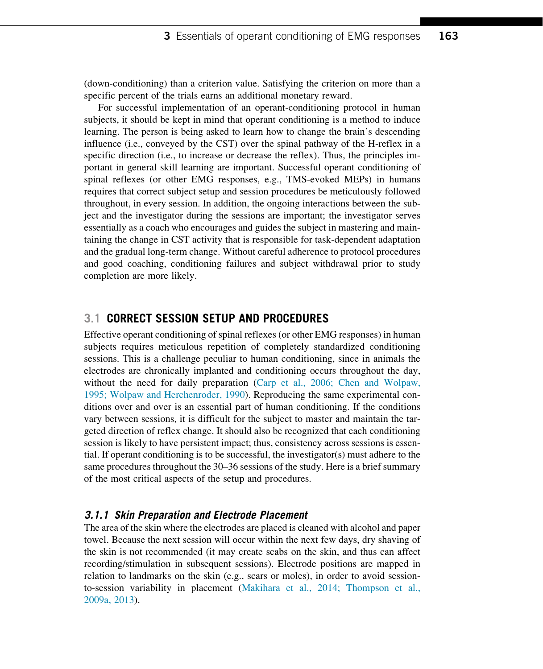(down-conditioning) than a criterion value. Satisfying the criterion on more than a specific percent of the trials earns an additional monetary reward.

For successful implementation of an operant-conditioning protocol in human subjects, it should be kept in mind that operant conditioning is a method to induce learning. The person is being asked to learn how to change the brain's descending influence (i.e., conveyed by the CST) over the spinal pathway of the H-reflex in a specific direction (i.e., to increase or decrease the reflex). Thus, the principles important in general skill learning are important. Successful operant conditioning of spinal reflexes (or other EMG responses, e.g., TMS-evoked MEPs) in humans requires that correct subject setup and session procedures be meticulously followed throughout, in every session. In addition, the ongoing interactions between the subject and the investigator during the sessions are important; the investigator serves essentially as a coach who encourages and guides the subject in mastering and maintaining the change in CST activity that is responsible for task-dependent adaptation and the gradual long-term change. Without careful adherence to protocol procedures and good coaching, conditioning failures and subject withdrawal prior to study completion are more likely.

#### 3.1 CORRECT SESSION SETUP AND PROCEDURES

Effective operant conditioning of spinal reflexes (or other EMG responses) in human subjects requires meticulous repetition of completely standardized conditioning sessions. This is a challenge peculiar to human conditioning, since in animals the electrodes are chronically implanted and conditioning occurs throughout the day, without the need for daily preparation [\(Carp et al., 2006; Chen and Wolpaw,](#page-13-0) [1995; Wolpaw and Herchenroder, 1990\)](#page-13-0). Reproducing the same experimental conditions over and over is an essential part of human conditioning. If the conditions vary between sessions, it is difficult for the subject to master and maintain the targeted direction of reflex change. It should also be recognized that each conditioning session is likely to have persistent impact; thus, consistency across sessions is essential. If operant conditioning is to be successful, the investigator(s) must adhere to the same procedures throughout the 30–36 sessions of the study. Here is a brief summary of the most critical aspects of the setup and procedures.

#### 3.1.1 Skin Preparation and Electrode Placement

The area of the skin where the electrodes are placed is cleaned with alcohol and paper towel. Because the next session will occur within the next few days, dry shaving of the skin is not recommended (it may create scabs on the skin, and thus can affect recording/stimulation in subsequent sessions). Electrode positions are mapped in relation to landmarks on the skin (e.g., scars or moles), in order to avoid sessionto-session variability in placement ([Makihara et al., 2014; Thompson et al.,](#page-14-0) [2009a, 2013\)](#page-14-0).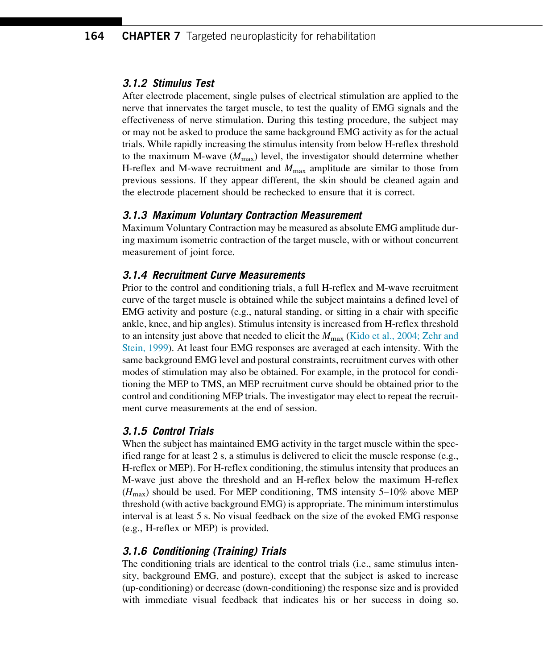#### 3.1.2 Stimulus Test

After electrode placement, single pulses of electrical stimulation are applied to the nerve that innervates the target muscle, to test the quality of EMG signals and the effectiveness of nerve stimulation. During this testing procedure, the subject may or may not be asked to produce the same background EMG activity as for the actual trials. While rapidly increasing the stimulus intensity from below H-reflex threshold to the maximum M-wave  $(M_{\text{max}})$  level, the investigator should determine whether H-reflex and M-wave recruitment and  $M_{\text{max}}$  amplitude are similar to those from previous sessions. If they appear different, the skin should be cleaned again and the electrode placement should be rechecked to ensure that it is correct.

#### 3.1.3 Maximum Voluntary Contraction Measurement

Maximum Voluntary Contraction may be measured as absolute EMG amplitude during maximum isometric contraction of the target muscle, with or without concurrent measurement of joint force.

#### 3.1.4 Recruitment Curve Measurements

Prior to the control and conditioning trials, a full H-reflex and M-wave recruitment curve of the target muscle is obtained while the subject maintains a defined level of EMG activity and posture (e.g., natural standing, or sitting in a chair with specific ankle, knee, and hip angles). Stimulus intensity is increased from H-reflex threshold to an intensity just above that needed to elicit the  $M_{\text{max}}$  ([Kido et al., 2004; Zehr and](#page-14-0) [Stein, 1999](#page-14-0)). At least four EMG responses are averaged at each intensity. With the same background EMG level and postural constraints, recruitment curves with other modes of stimulation may also be obtained. For example, in the protocol for conditioning the MEP to TMS, an MEP recruitment curve should be obtained prior to the control and conditioning MEP trials. The investigator may elect to repeat the recruitment curve measurements at the end of session.

#### 3.1.5 Control Trials

When the subject has maintained EMG activity in the target muscle within the specified range for at least 2 s, a stimulus is delivered to elicit the muscle response (e.g., H-reflex or MEP). For H-reflex conditioning, the stimulus intensity that produces an M-wave just above the threshold and an H-reflex below the maximum H-reflex  $(H_{\text{max}})$  should be used. For MEP conditioning, TMS intensity 5–10% above MEP threshold (with active background EMG) is appropriate. The minimum interstimulus interval is at least 5 s. No visual feedback on the size of the evoked EMG response (e.g., H-reflex or MEP) is provided.

#### 3.1.6 Conditioning (Training) Trials

The conditioning trials are identical to the control trials (i.e., same stimulus intensity, background EMG, and posture), except that the subject is asked to increase (up-conditioning) or decrease (down-conditioning) the response size and is provided with immediate visual feedback that indicates his or her success in doing so.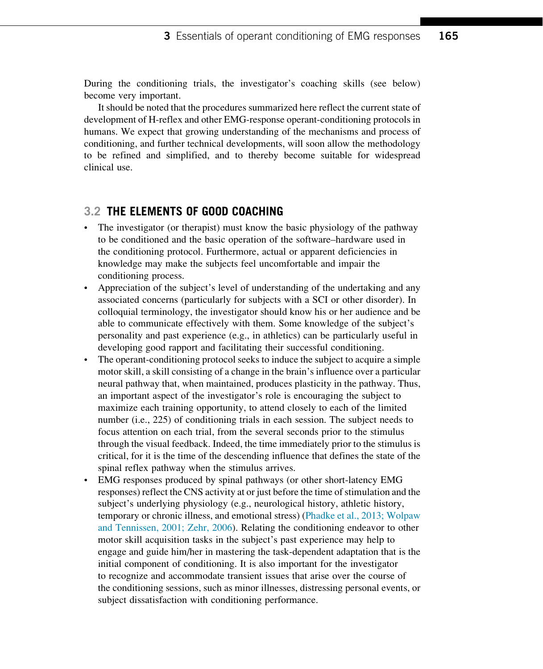During the conditioning trials, the investigator's coaching skills (see below) become very important.

It should be noted that the procedures summarized here reflect the current state of development of H-reflex and other EMG-response operant-conditioning protocols in humans. We expect that growing understanding of the mechanisms and process of conditioning, and further technical developments, will soon allow the methodology to be refined and simplified, and to thereby become suitable for widespread clinical use.

## 3.2 THE ELEMENTS OF GOOD COACHING

- The investigator (or therapist) must know the basic physiology of the pathway to be conditioned and the basic operation of the software–hardware used in the conditioning protocol. Furthermore, actual or apparent deficiencies in knowledge may make the subjects feel uncomfortable and impair the conditioning process.
- Appreciation of the subject's level of understanding of the undertaking and any associated concerns (particularly for subjects with a SCI or other disorder). In colloquial terminology, the investigator should know his or her audience and be able to communicate effectively with them. Some knowledge of the subject's personality and past experience (e.g., in athletics) can be particularly useful in developing good rapport and facilitating their successful conditioning.
- The operant-conditioning protocol seeks to induce the subject to acquire a simple motor skill, a skill consisting of a change in the brain's influence over a particular neural pathway that, when maintained, produces plasticity in the pathway. Thus, an important aspect of the investigator's role is encouraging the subject to maximize each training opportunity, to attend closely to each of the limited number (i.e., 225) of conditioning trials in each session. The subject needs to focus attention on each trial, from the several seconds prior to the stimulus through the visual feedback. Indeed, the time immediately prior to the stimulus is critical, for it is the time of the descending influence that defines the state of the spinal reflex pathway when the stimulus arrives.
- EMG responses produced by spinal pathways (or other short-latency EMG responses) reflect the CNS activity at or just before the time of stimulation and the subject's underlying physiology (e.g., neurological history, athletic history, temporary or chronic illness, and emotional stress) ([Phadke et al., 2013; Wolpaw](#page-14-0) [and Tennissen, 2001; Zehr, 2006](#page-14-0)). Relating the conditioning endeavor to other motor skill acquisition tasks in the subject's past experience may help to engage and guide him/her in mastering the task-dependent adaptation that is the initial component of conditioning. It is also important for the investigator to recognize and accommodate transient issues that arise over the course of the conditioning sessions, such as minor illnesses, distressing personal events, or subject dissatisfaction with conditioning performance.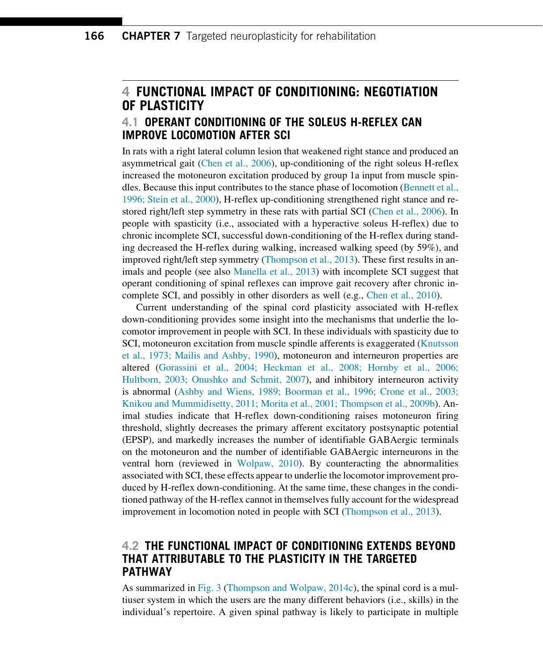# <span id="page-9-0"></span>4 FUNCTIONAL IMPACT OF CONDITIONING: NEGOTIATION OF PLASTICITY

# 4.1 OPERANT CONDITIONING OF THE SOLEUS H-REFLEX CAN IMPROVE LOCOMOTION AFTER SCI

In rats with a right lateral column lesion that weakened right stance and produced an asymmetrical gait [\(Chen et al., 2006\)](#page-13-0), up-conditioning of the right soleus H-reflex increased the motoneuron excitation produced by group 1a input from muscle spindles. Because this input contributes to the stance phase of locomotion [\(Bennett et al.,](#page-12-0) [1996; Stein et al., 2000](#page-12-0)), H-reflex up-conditioning strengthened right stance and restored right/left step symmetry in these rats with partial SCI [\(Chen et al., 2006](#page-13-0)). In people with spasticity (i.e., associated with a hyperactive soleus H-reflex) due to chronic incomplete SCI, successful down-conditioning of the H-reflex during standing decreased the H-reflex during walking, increased walking speed (by 59%), and improved right/left step symmetry ([Thompson et al., 2013\)](#page-15-0). These first results in animals and people (see also [Manella et al., 2013](#page-14-0)) with incomplete SCI suggest that operant conditioning of spinal reflexes can improve gait recovery after chronic incomplete SCI, and possibly in other disorders as well (e.g., [Chen et al., 2010](#page-13-0)).

Current understanding of the spinal cord plasticity associated with H-reflex down-conditioning provides some insight into the mechanisms that underlie the locomotor improvement in people with SCI. In these individuals with spasticity due to SCI, motoneuron excitation from muscle spindle afferents is exaggerated ([Knutsson](#page-14-0) [et al., 1973; Mailis and Ashby, 1990](#page-14-0)), motoneuron and interneuron properties are altered [\(Gorassini et al., 2004; Heckman et al., 2008; Hornby et al., 2006;](#page-13-0) [Hultborn, 2003; Onushko and Schmit, 2007](#page-13-0)), and inhibitory interneuron activity is abnormal ([Ashby and Wiens, 1989; Boorman et al., 1996; Crone et al., 2003;](#page-12-0) [Knikou and Mummidisetty, 2011; Morita et al., 2001; Thompson et al., 2009b\)](#page-12-0). Animal studies indicate that H-reflex down-conditioning raises motoneuron firing threshold, slightly decreases the primary afferent excitatory postsynaptic potential (EPSP), and markedly increases the number of identifiable GABAergic terminals on the motoneuron and the number of identifiable GABAergic interneurons in the ventral horn (reviewed in [Wolpaw, 2010](#page-15-0)). By counteracting the abnormalities associated with SCI, these effects appear to underlie the locomotor improvement produced by H-reflex down-conditioning. At the same time, these changes in the conditioned pathway of the H-reflex cannot in themselves fully account for the widespread improvement in locomotion noted in people with SCI [\(Thompson et al., 2013\)](#page-15-0).

# 4.2 THE FUNCTIONAL IMPACT OF CONDITIONING EXTENDS BEYOND THAT ATTRIBUTABLE TO THE PLASTICITY IN THE TARGETED PATHWAY

As summarized in [Fig. 3](#page-10-0) ([Thompson and Wolpaw, 2014c](#page-14-0)), the spinal cord is a multiuser system in which the users are the many different behaviors (i.e., skills) in the individual's repertoire. A given spinal pathway is likely to participate in multiple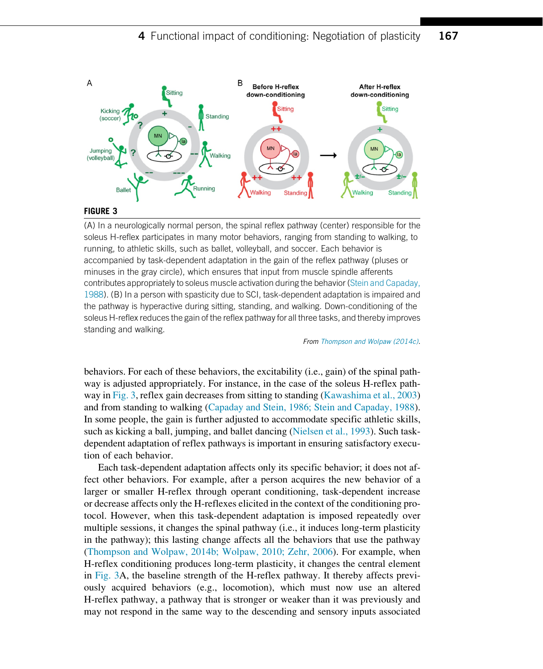<span id="page-10-0"></span>

(A) In a neurologically normal person, the spinal reflex pathway (center) responsible for the soleus H-reflex participates in many motor behaviors, ranging from standing to walking, to running, to athletic skills, such as ballet, volleyball, and soccer. Each behavior is accompanied by task-dependent adaptation in the gain of the reflex pathway (pluses or minuses in the gray circle), which ensures that input from muscle spindle afferents contributes appropriately to soleus muscle activation during the behavior [\(Stein and Capaday,](#page-14-0) [1988\)](#page-14-0). (B) In a person with spasticity due to SCI, task-dependent adaptation is impaired and the pathway is hyperactive during sitting, standing, and walking. Down-conditioning of the soleus H-reflex reduces the gain of the reflex pathway for all three tasks, and thereby improves standing and walking.

From [Thompson and Wolpaw \(2014c\)](#page-14-0).

behaviors. For each of these behaviors, the excitability (i.e., gain) of the spinal pathway is adjusted appropriately. For instance, in the case of the soleus H-reflex pathway in Fig. 3, reflex gain decreases from sitting to standing [\(Kawashima et al., 2003](#page-14-0)) and from standing to walking [\(Capaday and Stein, 1986; Stein and Capaday, 1988\)](#page-13-0). In some people, the gain is further adjusted to accommodate specific athletic skills, such as kicking a ball, jumping, and ballet dancing [\(Nielsen et al., 1993\)](#page-14-0). Such taskdependent adaptation of reflex pathways is important in ensuring satisfactory execution of each behavior.

Each task-dependent adaptation affects only its specific behavior; it does not affect other behaviors. For example, after a person acquires the new behavior of a larger or smaller H-reflex through operant conditioning, task-dependent increase or decrease affects only the H-reflexes elicited in the context of the conditioning protocol. However, when this task-dependent adaptation is imposed repeatedly over multiple sessions, it changes the spinal pathway (i.e., it induces long-term plasticity in the pathway); this lasting change affects all the behaviors that use the pathway ([Thompson and Wolpaw, 2014b; Wolpaw, 2010; Zehr, 2006](#page-14-0)). For example, when H-reflex conditioning produces long-term plasticity, it changes the central element in Fig. 3A, the baseline strength of the H-reflex pathway. It thereby affects previously acquired behaviors (e.g., locomotion), which must now use an altered H-reflex pathway, a pathway that is stronger or weaker than it was previously and may not respond in the same way to the descending and sensory inputs associated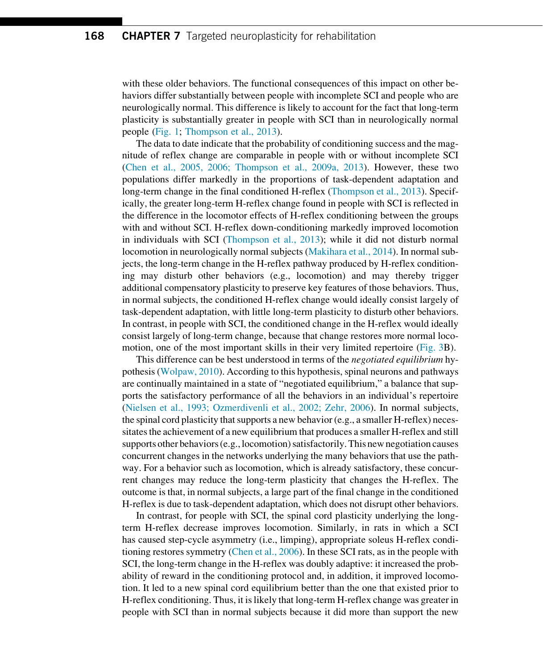with these older behaviors. The functional consequences of this impact on other behaviors differ substantially between people with incomplete SCI and people who are neurologically normal. This difference is likely to account for the fact that long-term plasticity is substantially greater in people with SCI than in neurologically normal people ([Fig. 1](#page-3-0); [Thompson et al., 2013](#page-15-0)).

The data to date indicate that the probability of conditioning success and the magnitude of reflex change are comparable in people with or without incomplete SCI ([Chen et al., 2005, 2006; Thompson et al., 2009a, 2013\)](#page-13-0). However, these two populations differ markedly in the proportions of task-dependent adaptation and long-term change in the final conditioned H-reflex ([Thompson et al., 2013](#page-15-0)). Specifically, the greater long-term H-reflex change found in people with SCI is reflected in the difference in the locomotor effects of H-reflex conditioning between the groups with and without SCI. H-reflex down-conditioning markedly improved locomotion in individuals with SCI [\(Thompson et al., 2013\)](#page-15-0); while it did not disturb normal locomotion in neurologically normal subjects ([Makihara et al., 2014\)](#page-14-0). In normal subjects, the long-term change in the H-reflex pathway produced by H-reflex conditioning may disturb other behaviors (e.g., locomotion) and may thereby trigger additional compensatory plasticity to preserve key features of those behaviors. Thus, in normal subjects, the conditioned H-reflex change would ideally consist largely of task-dependent adaptation, with little long-term plasticity to disturb other behaviors. In contrast, in people with SCI, the conditioned change in the H-reflex would ideally consist largely of long-term change, because that change restores more normal locomotion, one of the most important skills in their very limited repertoire ([Fig. 3](#page-10-0)B).

This difference can be best understood in terms of the *negotiated equilibrium* hypothesis ([Wolpaw, 2010\)](#page-15-0). According to this hypothesis, spinal neurons and pathways are continually maintained in a state of "negotiated equilibrium," a balance that supports the satisfactory performance of all the behaviors in an individual's repertoire ([Nielsen et al., 1993; Ozmerdivenli et al., 2002; Zehr, 2006](#page-14-0)). In normal subjects, the spinal cord plasticity that supports a new behavior (e.g., a smaller H-reflex) necessitates the achievement of a new equilibrium that produces a smaller H-reflex and still supports other behaviors (e.g., locomotion) satisfactorily. This new negotiation causes concurrent changes in the networks underlying the many behaviors that use the pathway. For a behavior such as locomotion, which is already satisfactory, these concurrent changes may reduce the long-term plasticity that changes the H-reflex. The outcome is that, in normal subjects, a large part of the final change in the conditioned H-reflex is due to task-dependent adaptation, which does not disrupt other behaviors.

In contrast, for people with SCI, the spinal cord plasticity underlying the longterm H-reflex decrease improves locomotion. Similarly, in rats in which a SCI has caused step-cycle asymmetry (i.e., limping), appropriate soleus H-reflex conditioning restores symmetry ([Chen et al., 2006\)](#page-13-0). In these SCI rats, as in the people with SCI, the long-term change in the H-reflex was doubly adaptive: it increased the probability of reward in the conditioning protocol and, in addition, it improved locomotion. It led to a new spinal cord equilibrium better than the one that existed prior to H-reflex conditioning. Thus, it is likely that long-term H-reflex change was greater in people with SCI than in normal subjects because it did more than support the new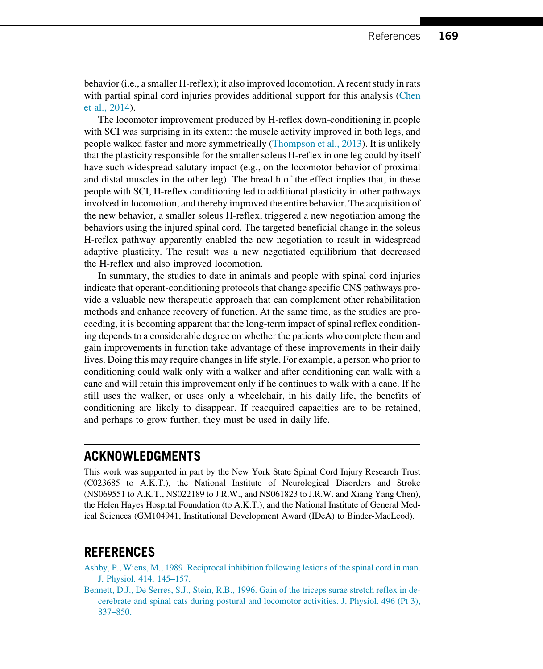<span id="page-12-0"></span>behavior (i.e., a smaller H-reflex); it also improved locomotion. A recent study in rats with partial spinal cord injuries provides additional support for this analysis [\(Chen](#page-13-0) [et al., 2014](#page-13-0)).

The locomotor improvement produced by H-reflex down-conditioning in people with SCI was surprising in its extent: the muscle activity improved in both legs, and people walked faster and more symmetrically [\(Thompson et al., 2013](#page-15-0)). It is unlikely that the plasticity responsible for the smaller soleus H-reflex in one leg could by itself have such widespread salutary impact (e.g., on the locomotor behavior of proximal and distal muscles in the other leg). The breadth of the effect implies that, in these people with SCI, H-reflex conditioning led to additional plasticity in other pathways involved in locomotion, and thereby improved the entire behavior. The acquisition of the new behavior, a smaller soleus H-reflex, triggered a new negotiation among the behaviors using the injured spinal cord. The targeted beneficial change in the soleus H-reflex pathway apparently enabled the new negotiation to result in widespread adaptive plasticity. The result was a new negotiated equilibrium that decreased the H-reflex and also improved locomotion.

In summary, the studies to date in animals and people with spinal cord injuries indicate that operant-conditioning protocols that change specific CNS pathways provide a valuable new therapeutic approach that can complement other rehabilitation methods and enhance recovery of function. At the same time, as the studies are proceeding, it is becoming apparent that the long-term impact of spinal reflex conditioning depends to a considerable degree on whether the patients who complete them and gain improvements in function take advantage of these improvements in their daily lives. Doing this may require changes in life style. For example, a person who prior to conditioning could walk only with a walker and after conditioning can walk with a cane and will retain this improvement only if he continues to walk with a cane. If he still uses the walker, or uses only a wheelchair, in his daily life, the benefits of conditioning are likely to disappear. If reacquired capacities are to be retained, and perhaps to grow further, they must be used in daily life.

# ACKNOWLEDGMENTS

This work was supported in part by the New York State Spinal Cord Injury Research Trust (C023685 to A.K.T.), the National Institute of Neurological Disorders and Stroke (NS069551 to A.K.T., NS022189 to J.R.W., and NS061823 to J.R.W. and Xiang Yang Chen), the Helen Hayes Hospital Foundation (to A.K.T.), and the National Institute of General Medical Sciences (GM104941, Institutional Development Award (IDeA) to Binder-MacLeod).

# REFERENCES

[Ashby, P., Wiens, M., 1989. Reciprocal inhibition following lesions of the spinal cord in man.](http://refhub.elsevier.com/S0079-6123(15)00008-4/rf0005) [J. Physiol. 414, 145–157.](http://refhub.elsevier.com/S0079-6123(15)00008-4/rf0005)

[Bennett, D.J., De Serres, S.J., Stein, R.B., 1996. Gain of the triceps surae stretch reflex in de](http://refhub.elsevier.com/S0079-6123(15)00008-4/rf0010)[cerebrate and spinal cats during postural and locomotor activities. J. Physiol. 496 \(Pt 3\),](http://refhub.elsevier.com/S0079-6123(15)00008-4/rf0010) [837–850.](http://refhub.elsevier.com/S0079-6123(15)00008-4/rf0010)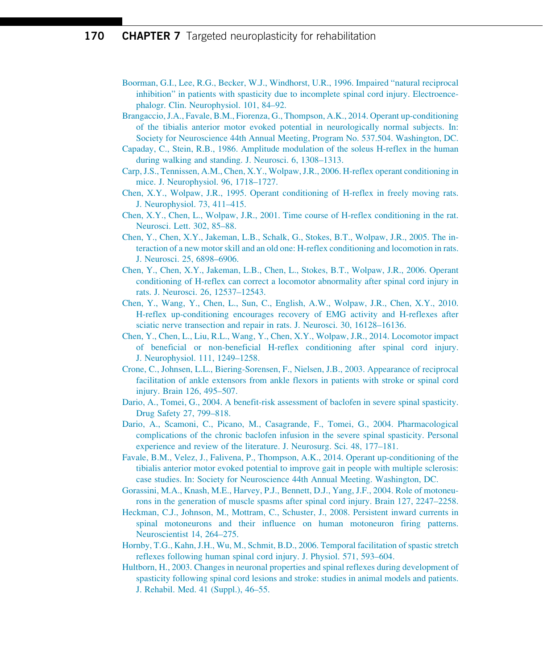- <span id="page-13-0"></span>[Boorman, G.I., Lee, R.G., Becker, W.J., Windhorst, U.R., 1996. Impaired "natural reciprocal](http://refhub.elsevier.com/S0079-6123(15)00008-4/rf0015) [inhibition" in patients with spasticity due to incomplete spinal cord injury. Electroence](http://refhub.elsevier.com/S0079-6123(15)00008-4/rf0015)[phalogr. Clin. Neurophysiol. 101, 84–92.](http://refhub.elsevier.com/S0079-6123(15)00008-4/rf0015)
- [Brangaccio, J.A., Favale, B.M., Fiorenza, G., Thompson, A.K., 2014. Operant up-conditioning](http://refhub.elsevier.com/S0079-6123(15)00008-4/rf0020) [of the tibialis anterior motor evoked potential in neurologically normal subjects. In:](http://refhub.elsevier.com/S0079-6123(15)00008-4/rf0020) [Society for Neuroscience 44th Annual Meeting, Program No. 537.504. Washington, DC.](http://refhub.elsevier.com/S0079-6123(15)00008-4/rf0020)
- [Capaday, C., Stein, R.B., 1986. Amplitude modulation of the soleus H-reflex in the human](http://refhub.elsevier.com/S0079-6123(15)00008-4/rf0025) [during walking and standing. J. Neurosci. 6, 1308–1313.](http://refhub.elsevier.com/S0079-6123(15)00008-4/rf0025)
- [Carp, J.S., Tennissen, A.M., Chen, X.Y., Wolpaw, J.R., 2006. H-reflex operant conditioning in](http://refhub.elsevier.com/S0079-6123(15)00008-4/rf0030) [mice. J. Neurophysiol. 96, 1718–1727.](http://refhub.elsevier.com/S0079-6123(15)00008-4/rf0030)
- [Chen, X.Y., Wolpaw, J.R., 1995. Operant conditioning of H-reflex in freely moving rats.](http://refhub.elsevier.com/S0079-6123(15)00008-4/rf0035) [J. Neurophysiol. 73, 411–415.](http://refhub.elsevier.com/S0079-6123(15)00008-4/rf0035)
- [Chen, X.Y., Chen, L., Wolpaw, J.R., 2001. Time course of H-reflex conditioning in the rat.](http://refhub.elsevier.com/S0079-6123(15)00008-4/rf0040) [Neurosci. Lett. 302, 85–88.](http://refhub.elsevier.com/S0079-6123(15)00008-4/rf0040)
- [Chen, Y., Chen, X.Y., Jakeman, L.B., Schalk, G., Stokes, B.T., Wolpaw, J.R., 2005. The in](http://refhub.elsevier.com/S0079-6123(15)00008-4/rf0045)[teraction of a new motor skill and an old one: H-reflex conditioning and locomotion in rats.](http://refhub.elsevier.com/S0079-6123(15)00008-4/rf0045) [J. Neurosci. 25, 6898–6906.](http://refhub.elsevier.com/S0079-6123(15)00008-4/rf0045)
- [Chen, Y., Chen, X.Y., Jakeman, L.B., Chen, L., Stokes, B.T., Wolpaw, J.R., 2006. Operant](http://refhub.elsevier.com/S0079-6123(15)00008-4/rf0050) [conditioning of H-reflex can correct a locomotor abnormality after spinal cord injury in](http://refhub.elsevier.com/S0079-6123(15)00008-4/rf0050) [rats. J. Neurosci. 26, 12537–12543.](http://refhub.elsevier.com/S0079-6123(15)00008-4/rf0050)
- [Chen, Y., Wang, Y., Chen, L., Sun, C., English, A.W., Wolpaw, J.R., Chen, X.Y., 2010.](http://refhub.elsevier.com/S0079-6123(15)00008-4/rf0055) [H-reflex up-conditioning encourages recovery of EMG activity and H-reflexes after](http://refhub.elsevier.com/S0079-6123(15)00008-4/rf0055) [sciatic nerve transection and repair in rats. J. Neurosci. 30, 16128–16136.](http://refhub.elsevier.com/S0079-6123(15)00008-4/rf0055)
- [Chen, Y., Chen, L., Liu, R.L., Wang, Y., Chen, X.Y., Wolpaw, J.R., 2014. Locomotor impact](http://refhub.elsevier.com/S0079-6123(15)00008-4/rf0065) [of beneficial or non-beneficial H-reflex conditioning after spinal cord injury.](http://refhub.elsevier.com/S0079-6123(15)00008-4/rf0065) [J. Neurophysiol. 111, 1249–1258.](http://refhub.elsevier.com/S0079-6123(15)00008-4/rf0065)
- [Crone, C., Johnsen, L.L., Biering-Sorensen, F., Nielsen, J.B., 2003. Appearance of reciprocal](http://refhub.elsevier.com/S0079-6123(15)00008-4/rf0070) [facilitation of ankle extensors from ankle flexors in patients with stroke or spinal cord](http://refhub.elsevier.com/S0079-6123(15)00008-4/rf0070) [injury. Brain 126, 495–507.](http://refhub.elsevier.com/S0079-6123(15)00008-4/rf0070)
- [Dario, A., Tomei, G., 2004. A benefit-risk assessment of baclofen in severe spinal spasticity.](http://refhub.elsevier.com/S0079-6123(15)00008-4/rf0075) [Drug Safety 27, 799–818.](http://refhub.elsevier.com/S0079-6123(15)00008-4/rf0075)
- [Dario, A., Scamoni, C., Picano, M., Casagrande, F., Tomei, G., 2004. Pharmacological](http://refhub.elsevier.com/S0079-6123(15)00008-4/rf0080) [complications of the chronic baclofen infusion in the severe spinal spasticity. Personal](http://refhub.elsevier.com/S0079-6123(15)00008-4/rf0080) [experience and review of the literature. J. Neurosurg. Sci. 48, 177–181.](http://refhub.elsevier.com/S0079-6123(15)00008-4/rf0080)
- [Favale, B.M., Velez, J., Falivena, P., Thompson, A.K., 2014. Operant up-conditioning of the](http://refhub.elsevier.com/S0079-6123(15)00008-4/rf0085) [tibialis anterior motor evoked potential to improve gait in people with multiple sclerosis:](http://refhub.elsevier.com/S0079-6123(15)00008-4/rf0085) [case studies. In: Society for Neuroscience 44th Annual Meeting. Washington, DC.](http://refhub.elsevier.com/S0079-6123(15)00008-4/rf0085)
- [Gorassini, M.A., Knash, M.E., Harvey, P.J., Bennett, D.J., Yang, J.F., 2004. Role of motoneu](http://refhub.elsevier.com/S0079-6123(15)00008-4/rf0090)[rons in the generation of muscle spasms after spinal cord injury. Brain 127, 2247–2258.](http://refhub.elsevier.com/S0079-6123(15)00008-4/rf0090)
- [Heckman, C.J., Johnson, M., Mottram, C., Schuster, J., 2008. Persistent inward currents in](http://refhub.elsevier.com/S0079-6123(15)00008-4/rf0095) [spinal motoneurons and their influence on human motoneuron firing patterns.](http://refhub.elsevier.com/S0079-6123(15)00008-4/rf0095) [Neuroscientist 14, 264–275.](http://refhub.elsevier.com/S0079-6123(15)00008-4/rf0095)
- [Hornby, T.G., Kahn, J.H., Wu, M., Schmit, B.D., 2006. Temporal facilitation of spastic stretch](http://refhub.elsevier.com/S0079-6123(15)00008-4/rf0100) [reflexes following human spinal cord injury. J. Physiol. 571, 593–604.](http://refhub.elsevier.com/S0079-6123(15)00008-4/rf0100)
- [Hultborn, H., 2003. Changes in neuronal properties and spinal reflexes during development of](http://refhub.elsevier.com/S0079-6123(15)00008-4/rf0105) [spasticity following spinal cord lesions and stroke: studies in animal models and patients.](http://refhub.elsevier.com/S0079-6123(15)00008-4/rf0105) [J. Rehabil. Med. 41 \(Suppl.\), 46–55.](http://refhub.elsevier.com/S0079-6123(15)00008-4/rf0105)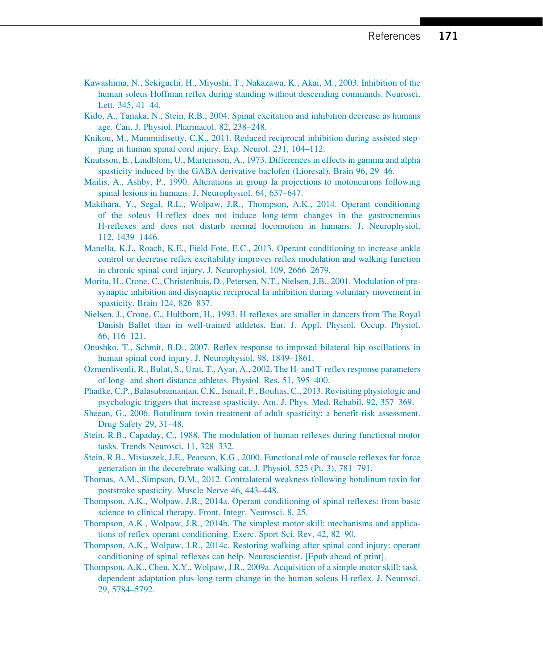- <span id="page-14-0"></span>[Kawashima, N., Sekiguchi, H., Miyoshi, T., Nakazawa, K., Akai, M., 2003. Inhibition of the](http://refhub.elsevier.com/S0079-6123(15)00008-4/rf0110) [human soleus Hoffman reflex during standing without descending commands. Neurosci.](http://refhub.elsevier.com/S0079-6123(15)00008-4/rf0110) [Lett. 345, 41–44.](http://refhub.elsevier.com/S0079-6123(15)00008-4/rf0110)
- [Kido, A., Tanaka, N., Stein, R.B., 2004. Spinal excitation and inhibition decrease as humans](http://refhub.elsevier.com/S0079-6123(15)00008-4/rf0115) [age. Can. J. Physiol. Pharmacol. 82, 238–248.](http://refhub.elsevier.com/S0079-6123(15)00008-4/rf0115)
- [Knikou, M., Mummidisetty, C.K., 2011. Reduced reciprocal inhibition during assisted step](http://refhub.elsevier.com/S0079-6123(15)00008-4/rf0120)[ping in human spinal cord injury. Exp. Neurol. 231, 104–112.](http://refhub.elsevier.com/S0079-6123(15)00008-4/rf0120)
- [Knutsson, E., Lindblom, U., Martensson, A., 1973. Differences in effects in gamma and alpha](http://refhub.elsevier.com/S0079-6123(15)00008-4/rf0125) [spasticity induced by the GABA derivative baclofen \(Lioresal\). Brain 96, 29–46.](http://refhub.elsevier.com/S0079-6123(15)00008-4/rf0125)
- [Mailis, A., Ashby, P., 1990. Alterations in group Ia projections to motoneurons following](http://refhub.elsevier.com/S0079-6123(15)00008-4/rf0130) [spinal lesions in humans. J. Neurophysiol. 64, 637–647.](http://refhub.elsevier.com/S0079-6123(15)00008-4/rf0130)
- [Makihara, Y., Segal, R.L., Wolpaw, J.R., Thompson, A.K., 2014. Operant conditioning](http://refhub.elsevier.com/S0079-6123(15)00008-4/rf0140) [of the soleus H-reflex does not induce long-term changes in the gastrocnemius](http://refhub.elsevier.com/S0079-6123(15)00008-4/rf0140) [H-reflexes and does not disturb normal locomotion in humans. J. Neurophysiol.](http://refhub.elsevier.com/S0079-6123(15)00008-4/rf0140) [112, 1439–1446.](http://refhub.elsevier.com/S0079-6123(15)00008-4/rf0140)
- [Manella, K.J., Roach, K.E., Field-Fote, E.C., 2013. Operant conditioning to increase ankle](http://refhub.elsevier.com/S0079-6123(15)00008-4/rf0145) [control or decrease reflex excitability improves reflex modulation and walking function](http://refhub.elsevier.com/S0079-6123(15)00008-4/rf0145) [in chronic spinal cord injury. J. Neurophysiol. 109, 2666–2679.](http://refhub.elsevier.com/S0079-6123(15)00008-4/rf0145)
- [Morita, H., Crone, C., Christenhuis, D., Petersen, N.T., Nielsen, J.B., 2001. Modulation of pre](http://refhub.elsevier.com/S0079-6123(15)00008-4/rf0150)[synaptic inhibition and disynaptic reciprocal Ia inhibition during voluntary movement in](http://refhub.elsevier.com/S0079-6123(15)00008-4/rf0150) [spasticity. Brain 124, 826–837.](http://refhub.elsevier.com/S0079-6123(15)00008-4/rf0150)
- [Nielsen, J., Crone, C., Hultborn, H., 1993. H-reflexes are smaller in dancers from The Royal](http://refhub.elsevier.com/S0079-6123(15)00008-4/rf0155) [Danish Ballet than in well-trained athletes. Eur. J. Appl. Physiol. Occup. Physiol.](http://refhub.elsevier.com/S0079-6123(15)00008-4/rf0155) [66, 116–121.](http://refhub.elsevier.com/S0079-6123(15)00008-4/rf0155)
- [Onushko, T., Schmit, B.D., 2007. Reflex response to imposed bilateral hip oscillations in](http://refhub.elsevier.com/S0079-6123(15)00008-4/rf0160) [human spinal cord injury. J. Neurophysiol. 98, 1849–1861.](http://refhub.elsevier.com/S0079-6123(15)00008-4/rf0160)
- [Ozmerdivenli, R., Bulut, S., Urat, T., Ayar, A., 2002. The H- and T-reflex response parameters](http://refhub.elsevier.com/S0079-6123(15)00008-4/rf0165) [of long- and short-distance athletes. Physiol. Res. 51, 395–400.](http://refhub.elsevier.com/S0079-6123(15)00008-4/rf0165)
- [Phadke, C.P., Balasubramanian, C.K., Ismail, F., Boulias, C., 2013. Revisiting physiologic and](http://refhub.elsevier.com/S0079-6123(15)00008-4/rf0170) [psychologic triggers that increase spasticity. Am. J. Phys. Med. Rehabil. 92, 357–369.](http://refhub.elsevier.com/S0079-6123(15)00008-4/rf0170)
- [Sheean, G., 2006. Botulinum toxin treatment of adult spasticity: a benefit-risk assessment.](http://refhub.elsevier.com/S0079-6123(15)00008-4/rf0175) [Drug Safety 29, 31–48.](http://refhub.elsevier.com/S0079-6123(15)00008-4/rf0175)
- [Stein, R.B., Capaday, C., 1988. The modulation of human reflexes during functional motor](http://refhub.elsevier.com/S0079-6123(15)00008-4/rf0180) [tasks. Trends Neurosci. 11, 328–332.](http://refhub.elsevier.com/S0079-6123(15)00008-4/rf0180)
- [Stein, R.B., Misiaszek, J.E., Pearson, K.G., 2000. Functional role of muscle reflexes for force](http://refhub.elsevier.com/S0079-6123(15)00008-4/rf0185) [generation in the decerebrate walking cat. J. Physiol. 525 \(Pt. 3\), 781–791.](http://refhub.elsevier.com/S0079-6123(15)00008-4/rf0185)
- [Thomas, A.M., Simpson, D.M., 2012. Contralateral weakness following botulinum toxin for](http://refhub.elsevier.com/S0079-6123(15)00008-4/rf0190) [poststroke spasticity. Muscle Nerve 46, 443–448.](http://refhub.elsevier.com/S0079-6123(15)00008-4/rf0190)
- [Thompson, A.K., Wolpaw, J.R., 2014a. Operant conditioning of spinal reflexes: from basic](http://refhub.elsevier.com/S0079-6123(15)00008-4/rf0195) [science to clinical therapy. Front. Integr. Neurosci. 8, 25.](http://refhub.elsevier.com/S0079-6123(15)00008-4/rf0195)
- [Thompson, A.K., Wolpaw, J.R., 2014b. The simplest motor skill: mechanisms and applica](http://refhub.elsevier.com/S0079-6123(15)00008-4/rf0200)[tions of reflex operant conditioning. Exerc. Sport Sci. Rev. 42, 82–90.](http://refhub.elsevier.com/S0079-6123(15)00008-4/rf0200)
- [Thompson, A.K., Wolpaw, J.R., 2014c. Restoring walking after spinal cord injury: operant](http://refhub.elsevier.com/S0079-6123(15)00008-4/rf0205) [conditioning of spinal reflexes can help. Neuroscientist. \[Epub ahead of print\].](http://refhub.elsevier.com/S0079-6123(15)00008-4/rf0205)
- [Thompson, A.K., Chen, X.Y., Wolpaw, J.R., 2009a. Acquisition of a simple motor skill: task](http://refhub.elsevier.com/S0079-6123(15)00008-4/rf0210)[dependent adaptation plus long-term change in the human soleus H-reflex. J. Neurosci.](http://refhub.elsevier.com/S0079-6123(15)00008-4/rf0210) [29, 5784–5792.](http://refhub.elsevier.com/S0079-6123(15)00008-4/rf0210)